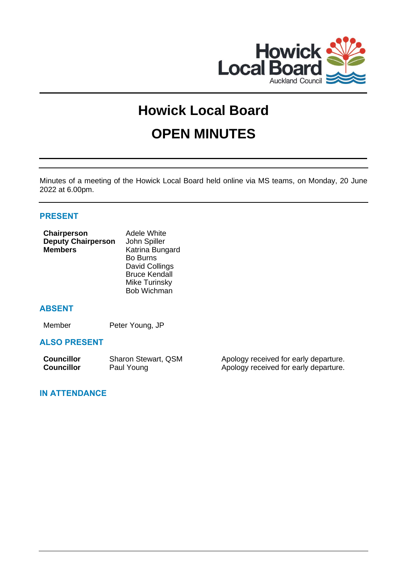

# **Howick Local Board OPEN MINUTES**

Minutes of a meeting of the Howick Local Board held online via MS teams, on Monday, 20 June 2022 at 6.00pm.

# **PRESENT**

| Chairperson               | <b>Adele White</b>   |
|---------------------------|----------------------|
| <b>Deputy Chairperson</b> | John Spiller         |
| <b>Members</b>            | Katrina Bungard      |
|                           | <b>Bo Burns</b>      |
|                           | David Collings       |
|                           | <b>Bruce Kendall</b> |
|                           | <b>Mike Turinsky</b> |

Bob Wichman

# **ABSENT**

Member Peter Young, JP

# **ALSO PRESENT**

| <b>Councillor</b> | Sharon Stewart, QSM | Apology received for early departure. |
|-------------------|---------------------|---------------------------------------|
| <b>Councillor</b> | Paul Young          | Apology received for early departure. |

# **IN ATTENDANCE**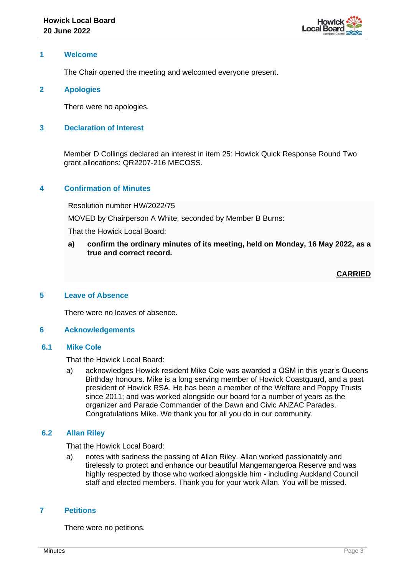

# **1 Welcome**

The Chair opened the meeting and welcomed everyone present.

# **2 Apologies**

There were no apologies.

# **3 Declaration of Interest**

Member D Collings declared an interest in item 25: Howick Quick Response Round Two grant allocations: QR2207-216 MECOSS.

# **4 Confirmation of Minutes**

Resolution number HW/2022/75

MOVED by Chairperson A White, seconded by Member B Burns:

That the Howick Local Board:

**a) confirm the ordinary minutes of its meeting, held on Monday, 16 May 2022, as a true and correct record.**

**CARRIED**

# **5 Leave of Absence**

There were no leaves of absence.

## **6 Acknowledgements**

## **6.1 Mike Cole**

That the Howick Local Board:

a) acknowledges Howick resident Mike Cole was awarded a QSM in this year's Queens Birthday honours. Mike is a long serving member of Howick Coastguard, and a past president of Howick RSA. He has been a member of the Welfare and Poppy Trusts since 2011; and was worked alongside our board for a number of years as the organizer and Parade Commander of the Dawn and Civic ANZAC Parades. Congratulations Mike. We thank you for all you do in our community.

## **6.2 Allan Riley**

That the Howick Local Board:

a) notes with sadness the passing of Allan Riley. Allan worked passionately and tirelessly to protect and enhance our beautiful Mangemangeroa Reserve and was highly respected by those who worked alongside him - including Auckland Council staff and elected members. Thank you for your work Allan. You will be missed.

## **7 Petitions**

There were no petitions.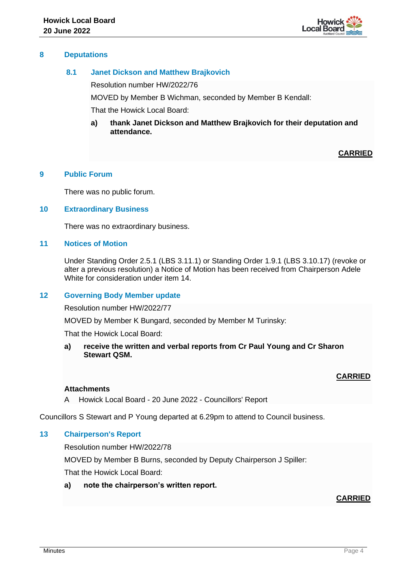

# **8 Deputations**

# **8.1 Janet Dickson and Matthew Brajkovich**

Resolution number HW/2022/76

MOVED by Member B Wichman, seconded by Member B Kendall:

That the Howick Local Board:

**a) thank Janet Dickson and Matthew Brajkovich for their deputation and attendance.**

# **CARRIED**

# **9 Public Forum**

There was no public forum.

## **10 Extraordinary Business**

There was no extraordinary business.

# **11 Notices of Motion**

Under Standing Order 2.5.1 (LBS 3.11.1) or Standing Order 1.9.1 (LBS 3.10.17) (revoke or alter a previous resolution) a Notice of Motion has been received from Chairperson Adele White for consideration under item 14.

# **12 Governing Body Member update**

Resolution number HW/2022/77

MOVED by Member K Bungard, seconded by Member M Turinsky:

That the Howick Local Board:

**a) receive the written and verbal reports from Cr Paul Young and Cr Sharon Stewart QSM.**

# **CARRIED**

## **Attachments**

A Howick Local Board - 20 June 2022 - Councillors' Report

Councillors S Stewart and P Young departed at 6.29pm to attend to Council business.

# **13 Chairperson's Report**

Resolution number HW/2022/78

MOVED by Member B Burns, seconded by Deputy Chairperson J Spiller:

That the Howick Local Board:

**a) note the chairperson's written report.**

# **CARRIED**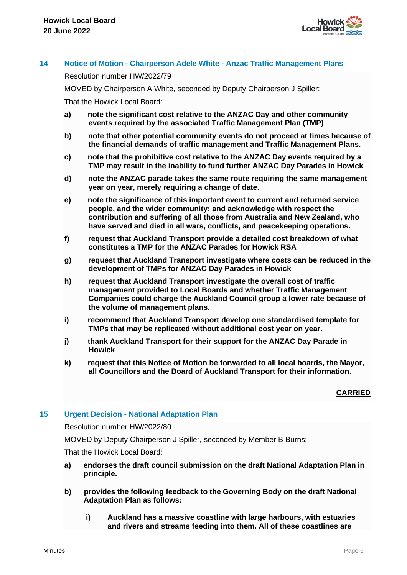

# **14 Notice of Motion - Chairperson Adele White - Anzac Traffic Management Plans**

Resolution number HW/2022/79

MOVED by Chairperson A White, seconded by Deputy Chairperson J Spiller:

That the Howick Local Board:

- **a) note the significant cost relative to the ANZAC Day and other community events required by the associated Traffic Management Plan (TMP)**
- **b) note that other potential community events do not proceed at times because of the financial demands of traffic management and Traffic Management Plans.**
- **c) note that the prohibitive cost relative to the ANZAC Day events required by a TMP may result in the inability to fund further ANZAC Day Parades in Howick**
- **d) note the ANZAC parade takes the same route requiring the same management year on year, merely requiring a change of date.**
- **e) note the significance of this important event to current and returned service people, and the wider community; and acknowledge with respect the contribution and suffering of all those from Australia and New Zealand, who have served and died in all wars, conflicts, and peacekeeping operations.**
- **f) request that Auckland Transport provide a detailed cost breakdown of what constitutes a TMP for the ANZAC Parades for Howick RSA**
- **g) request that Auckland Transport investigate where costs can be reduced in the development of TMPs for ANZAC Day Parades in Howick**
- **h) request that Auckland Transport investigate the overall cost of traffic management provided to Local Boards and whether Traffic Management Companies could charge the Auckland Council group a lower rate because of the volume of management plans.**
- **i) recommend that Auckland Transport develop one standardised template for TMPs that may be replicated without additional cost year on year.**
- **j) thank Auckland Transport for their support for the ANZAC Day Parade in Howick**
- **k) request that this Notice of Motion be forwarded to all local boards, the Mayor, all Councillors and the Board of Auckland Transport for their information**.

# **CARRIED**

## **15 Urgent Decision - National Adaptation Plan**

Resolution number HW/2022/80

MOVED by Deputy Chairperson J Spiller, seconded by Member B Burns:

- **a) endorses the draft council submission on the draft National Adaptation Plan in principle.**
- **b) provides the following feedback to the Governing Body on the draft National Adaptation Plan as follows:**
	- **i) Auckland has a massive coastline with large harbours, with estuaries and rivers and streams feeding into them. All of these coastlines are**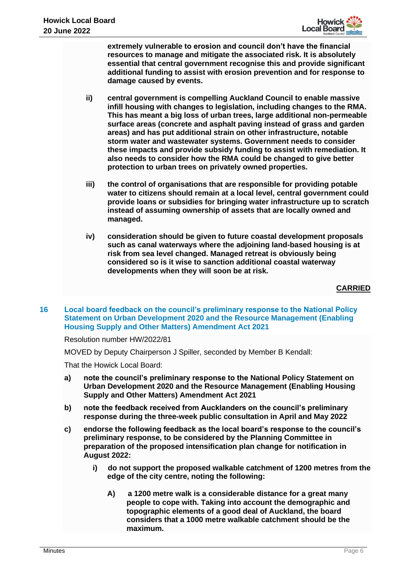

**extremely vulnerable to erosion and council don't have the financial resources to manage and mitigate the associated risk. It is absolutely essential that central government recognise this and provide significant additional funding to assist with erosion prevention and for response to damage caused by events.**

- **ii) central government is compelling Auckland Council to enable massive infill housing with changes to legislation, including changes to the RMA. This has meant a big loss of urban trees, large additional non-permeable surface areas (concrete and asphalt paving instead of grass and garden areas) and has put additional strain on other infrastructure, notable storm water and wastewater systems. Government needs to consider these impacts and provide subsidy funding to assist with remediation. It also needs to consider how the RMA could be changed to give better protection to urban trees on privately owned properties.**
- **iii) the control of organisations that are responsible for providing potable water to citizens should remain at a local level, central government could provide loans or subsidies for bringing water infrastructure up to scratch instead of assuming ownership of assets that are locally owned and managed.**
- **iv) consideration should be given to future coastal development proposals such as canal waterways where the adjoining land-based housing is at risk from sea level changed. Managed retreat is obviously being considered so is it wise to sanction additional coastal waterway developments when they will soon be at risk.**

**CARRIED**

**16 Local board feedback on the council's preliminary response to the National Policy Statement on Urban Development 2020 and the Resource Management (Enabling Housing Supply and Other Matters) Amendment Act 2021**

Resolution number HW/2022/81

MOVED by Deputy Chairperson J Spiller, seconded by Member B Kendall:

- **a) note the council's preliminary response to the National Policy Statement on Urban Development 2020 and the Resource Management (Enabling Housing Supply and Other Matters) Amendment Act 2021**
- **b) note the feedback received from Aucklanders on the council's preliminary response during the three-week public consultation in April and May 2022**
- **c) endorse the following feedback as the local board's response to the council's preliminary response, to be considered by the Planning Committee in preparation of the proposed intensification plan change for notification in August 2022:**
	- **i) do not support the proposed walkable catchment of 1200 metres from the edge of the city centre, noting the following:**
		- **A) a 1200 metre walk is a considerable distance for a great many people to cope with. Taking into account the demographic and topographic elements of a good deal of Auckland, the board considers that a 1000 metre walkable catchment should be the maximum.**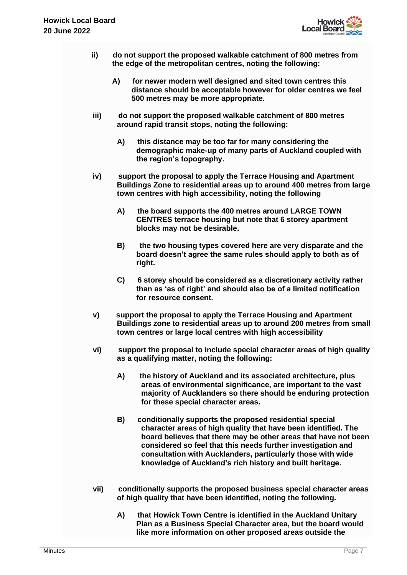

- **ii) do not support the proposed walkable catchment of 800 metres from the edge of the metropolitan centres, noting the following:**
	- **A) for newer modern well designed and sited town centres this distance should be acceptable however for older centres we feel 500 metres may be more appropriate.**
- **iii) do not support the proposed walkable catchment of 800 metres around rapid transit stops, noting the following:**
	- **A) this distance may be too far for many considering the demographic make-up of many parts of Auckland coupled with the region's topography.**
- **iv) support the proposal to apply the Terrace Housing and Apartment Buildings Zone to residential areas up to around 400 metres from large town centres with high accessibility, noting the following**
	- **A) the board supports the 400 metres around LARGE TOWN CENTRES terrace housing but note that 6 storey apartment blocks may not be desirable.**
	- **B) the two housing types covered here are very disparate and the board doesn't agree the same rules should apply to both as of right.**
	- **C) 6 storey should be considered as a discretionary activity rather than as 'as of right' and should also be of a limited notification for resource consent.**
- **v) support the proposal to apply the Terrace Housing and Apartment Buildings zone to residential areas up to around 200 metres from small town centres or large local centres with high accessibility**
- **vi) support the proposal to include special character areas of high quality as a qualifying matter, noting the following:**
	- **A) the history of Auckland and its associated architecture, plus areas of environmental significance, are important to the vast majority of Aucklanders so there should be enduring protection for these special character areas.**
	- **B) conditionally supports the proposed residential special character areas of high quality that have been identified. The board believes that there may be other areas that have not been considered so feel that this needs further investigation and consultation with Aucklanders, particularly those with wide knowledge of Auckland's rich history and built heritage.**
- **vii) conditionally supports the proposed business special character areas of high quality that have been identified, noting the following.**
	- **A) that Howick Town Centre is identified in the Auckland Unitary Plan as a Business Special Character area, but the board would like more information on other proposed areas outside the**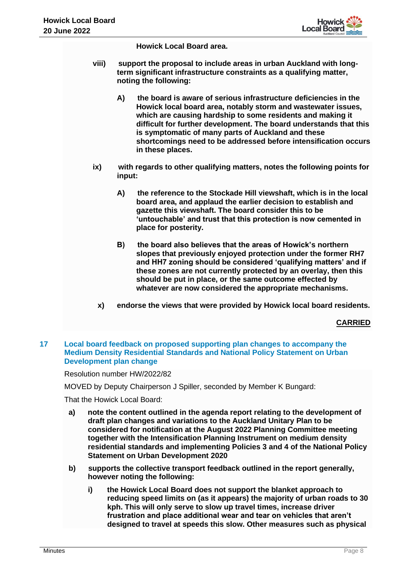

**Howick Local Board area.**

- **viii) support the proposal to include areas in urban Auckland with longterm significant infrastructure constraints as a qualifying matter, noting the following:**
	- **A) the board is aware of serious infrastructure deficiencies in the Howick local board area, notably storm and wastewater issues, which are causing hardship to some residents and making it difficult for further development. The board understands that this is symptomatic of many parts of Auckland and these shortcomings need to be addressed before intensification occurs in these places.**
- **ix) with regards to other qualifying matters, notes the following points for input:**
	- **A) the reference to the Stockade Hill viewshaft, which is in the local board area, and applaud the earlier decision to establish and gazette this viewshaft. The board consider this to be 'untouchable' and trust that this protection is now cemented in place for posterity.**
	- **B) the board also believes that the areas of Howick's northern slopes that previously enjoyed protection under the former RH7 and HH7 zoning should be considered 'qualifying matters' and if these zones are not currently protected by an overlay, then this should be put in place, or the same outcome effected by whatever are now considered the appropriate mechanisms.**
	- **x) endorse the views that were provided by Howick local board residents.**

**CARRIED**

## **17 Local board feedback on proposed supporting plan changes to accompany the Medium Density Residential Standards and National Policy Statement on Urban Development plan change**

Resolution number HW/2022/82

MOVED by Deputy Chairperson J Spiller, seconded by Member K Bungard:

- **a) note the content outlined in the agenda report relating to the development of draft plan changes and variations to the Auckland Unitary Plan to be considered for notification at the August 2022 Planning Committee meeting together with the Intensification Planning Instrument on medium density residential standards and implementing Policies 3 and 4 of the National Policy Statement on Urban Development 2020**
- **b) supports the collective transport feedback outlined in the report generally, however noting the following:**
	- **i) the Howick Local Board does not support the blanket approach to reducing speed limits on (as it appears) the majority of urban roads to 30 kph. This will only serve to slow up travel times, increase driver frustration and place additional wear and tear on vehicles that aren't designed to travel at speeds this slow. Other measures such as physical**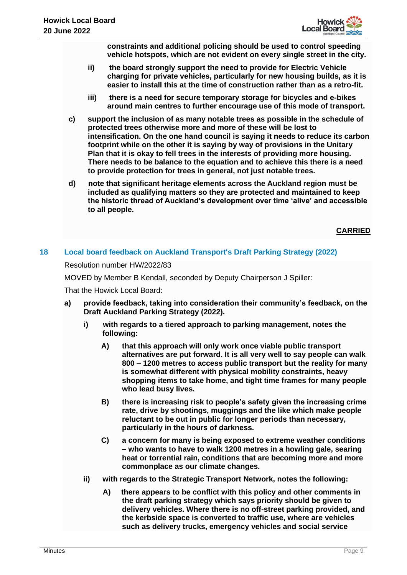**constraints and additional policing should be used to control speeding vehicle hotspots, which are not evident on every single street in the city.** 

- **ii) the board strongly support the need to provide for Electric Vehicle charging for private vehicles, particularly for new housing builds, as it is easier to install this at the time of construction rather than as a retro-fit.**
- **iii) there is a need for secure temporary storage for bicycles and e-bikes around main centres to further encourage use of this mode of transport.**
- **c) support the inclusion of as many notable trees as possible in the schedule of protected trees otherwise more and more of these will be lost to intensification. On the one hand council is saying it needs to reduce its carbon footprint while on the other it is saying by way of provisions in the Unitary Plan that it is okay to fell trees in the interests of providing more housing. There needs to be balance to the equation and to achieve this there is a need to provide protection for trees in general, not just notable trees.**
- **d) note that significant heritage elements across the Auckland region must be included as qualifying matters so they are protected and maintained to keep the historic thread of Auckland's development over time 'alive' and accessible to all people.**

# **CARRIED**

# **18 Local board feedback on Auckland Transport's Draft Parking Strategy (2022)**

Resolution number HW/2022/83

MOVED by Member B Kendall, seconded by Deputy Chairperson J Spiller:

- **a) provide feedback, taking into consideration their community's feedback, on the Draft Auckland Parking Strategy (2022).**
	- **i) with regards to a tiered approach to parking management, notes the following:**
		- **A) that this approach will only work once viable public transport alternatives are put forward. It is all very well to say people can walk 800 – 1200 metres to access public transport but the reality for many is somewhat different with physical mobility constraints, heavy shopping items to take home, and tight time frames for many people who lead busy lives.**
		- **B) there is increasing risk to people's safety given the increasing crime rate, drive by shootings, muggings and the like which make people reluctant to be out in public for longer periods than necessary, particularly in the hours of darkness.**
		- **C) a concern for many is being exposed to extreme weather conditions – who wants to have to walk 1200 metres in a howling gale, searing heat or torrential rain, conditions that are becoming more and more commonplace as our climate changes.**
	- **ii) with regards to the Strategic Transport Network, notes the following:**
		- **A) there appears to be conflict with this policy and other comments in the draft parking strategy which says priority should be given to delivery vehicles. Where there is no off-street parking provided, and the kerbside space is converted to traffic use, where are vehicles such as delivery trucks, emergency vehicles and social service**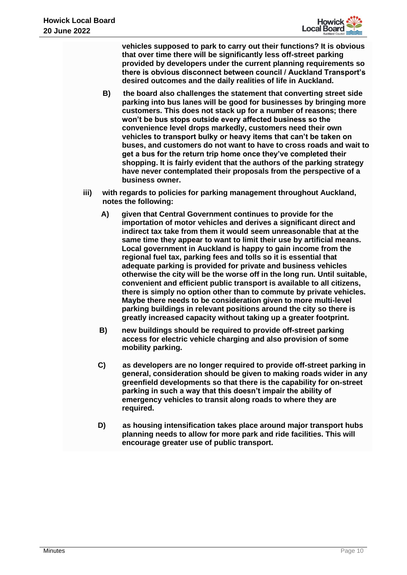

**vehicles supposed to park to carry out their functions? It is obvious that over time there will be significantly less off-street parking provided by developers under the current planning requirements so there is obvious disconnect between council / Auckland Transport's desired outcomes and the daily realities of life in Auckland.**

- **B) the board also challenges the statement that converting street side parking into bus lanes will be good for businesses by bringing more customers. This does not stack up for a number of reasons; there won't be bus stops outside every affected business so the convenience level drops markedly, customers need their own vehicles to transport bulky or heavy items that can't be taken on buses, and customers do not want to have to cross roads and wait to get a bus for the return trip home once they've completed their shopping. It is fairly evident that the authors of the parking strategy have never contemplated their proposals from the perspective of a business owner.**
- **iii) with regards to policies for parking management throughout Auckland, notes the following:**
	- **A) given that Central Government continues to provide for the importation of motor vehicles and derives a significant direct and indirect tax take from them it would seem unreasonable that at the same time they appear to want to limit their use by artificial means. Local government in Auckland is happy to gain income from the regional fuel tax, parking fees and tolls so it is essential that adequate parking is provided for private and business vehicles otherwise the city will be the worse off in the long run. Until suitable, convenient and efficient public transport is available to all citizens, there is simply no option other than to commute by private vehicles. Maybe there needs to be consideration given to more multi-level parking buildings in relevant positions around the city so there is greatly increased capacity without taking up a greater footprint.**
	- **B) new buildings should be required to provide off-street parking access for electric vehicle charging and also provision of some mobility parking.**
	- **C) as developers are no longer required to provide off-street parking in general, consideration should be given to making roads wider in any greenfield developments so that there is the capability for on-street parking in such a way that this doesn't impair the ability of emergency vehicles to transit along roads to where they are required.**
	- **D) as housing intensification takes place around major transport hubs planning needs to allow for more park and ride facilities. This will encourage greater use of public transport.**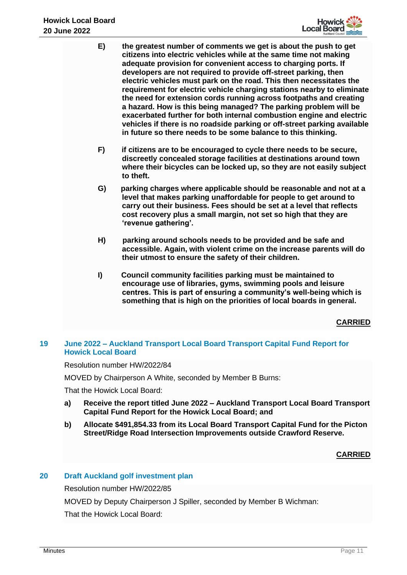

- **E) the greatest number of comments we get is about the push to get citizens into electric vehicles while at the same time not making adequate provision for convenient access to charging ports. If developers are not required to provide off-street parking, then electric vehicles must park on the road. This then necessitates the requirement for electric vehicle charging stations nearby to eliminate the need for extension cords running across footpaths and creating a hazard. How is this being managed? The parking problem will be exacerbated further for both internal combustion engine and electric vehicles if there is no roadside parking or off-street parking available in future so there needs to be some balance to this thinking.**
- **F) if citizens are to be encouraged to cycle there needs to be secure, discreetly concealed storage facilities at destinations around town where their bicycles can be locked up, so they are not easily subject to theft.**
- **G) parking charges where applicable should be reasonable and not at a level that makes parking unaffordable for people to get around to carry out their business. Fees should be set at a level that reflects cost recovery plus a small margin, not set so high that they are 'revenue gathering'.**
- **H) parking around schools needs to be provided and be safe and accessible. Again, with violent crime on the increase parents will do their utmost to ensure the safety of their children.**
- **I) Council community facilities parking must be maintained to encourage use of libraries, gyms, swimming pools and leisure centres. This is part of ensuring a community's well-being which is something that is high on the priorities of local boards in general.**

# **19 June 2022 – Auckland Transport Local Board Transport Capital Fund Report for Howick Local Board**

Resolution number HW/2022/84

MOVED by Chairperson A White, seconded by Member B Burns:

That the Howick Local Board:

- **a) Receive the report titled June 2022 – Auckland Transport Local Board Transport Capital Fund Report for the Howick Local Board; and**
- **b) Allocate \$491,854.33 from its Local Board Transport Capital Fund for the Picton Street/Ridge Road Intersection Improvements outside Crawford Reserve.**

# **CARRIED**

# **20 Draft Auckland golf investment plan**

Resolution number HW/2022/85

MOVED by Deputy Chairperson J Spiller, seconded by Member B Wichman: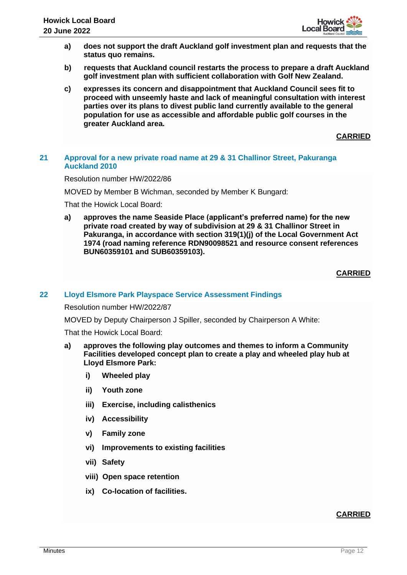

- **a) does not support the draft Auckland golf investment plan and requests that the status quo remains.**
- **b) requests that Auckland council restarts the process to prepare a draft Auckland golf investment plan with sufficient collaboration with Golf New Zealand.**
- **c) expresses its concern and disappointment that Auckland Council sees fit to proceed with unseemly haste and lack of meaningful consultation with interest parties over its plans to divest public land currently available to the general population for use as accessible and affordable public golf courses in the greater Auckland area.**

# **21 Approval for a new private road name at 29 & 31 Challinor Street, Pakuranga Auckland 2010**

Resolution number HW/2022/86

MOVED by Member B Wichman, seconded by Member K Bungard:

That the Howick Local Board:

**a) approves the name Seaside Place (applicant's preferred name) for the new private road created by way of subdivision at 29 & 31 Challinor Street in Pakuranga, in accordance with section 319(1)(j) of the Local Government Act 1974 (road naming reference RDN90098521 and resource consent references BUN60359101 and SUB60359103).**

**CARRIED**

## **22 Lloyd Elsmore Park Playspace Service Assessment Findings**

Resolution number HW/2022/87

MOVED by Deputy Chairperson J Spiller, seconded by Chairperson A White:

That the Howick Local Board:

- **a) approves the following play outcomes and themes to inform a Community Facilities developed concept plan to create a play and wheeled play hub at Lloyd Elsmore Park:**
	- **i) Wheeled play**
	- **ii) Youth zone**
	- **iii) Exercise, including calisthenics**
	- **iv) Accessibility**
	- **v) Family zone**
	- **vi) Improvements to existing facilities**
	- **vii) Safety**
	- **viii) Open space retention**
	- **ix) Co-location of facilities.**

# **CARRIED**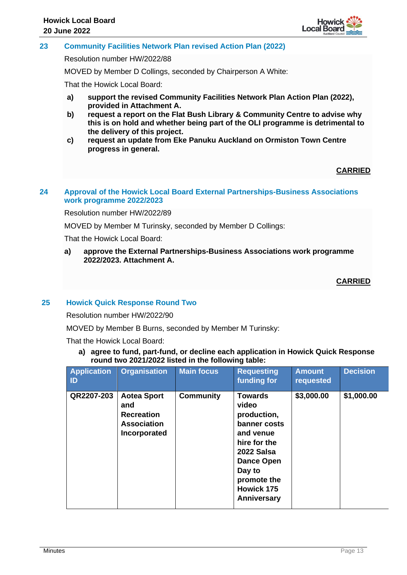

# **23 Community Facilities Network Plan revised Action Plan (2022)**

Resolution number HW/2022/88

MOVED by Member D Collings, seconded by Chairperson A White:

That the Howick Local Board:

- **a) support the revised Community Facilities Network Plan Action Plan (2022), provided in Attachment A.**
- **b) request a report on the Flat Bush Library & Community Centre to advise why this is on hold and whether being part of the OLI programme is detrimental to the delivery of this project.**
- **c) request an update from Eke Panuku Auckland on Ormiston Town Centre progress in general.**

# **CARRIED**

# **24 Approval of the Howick Local Board External Partnerships-Business Associations work programme 2022/2023**

Resolution number HW/2022/89

MOVED by Member M Turinsky, seconded by Member D Collings:

That the Howick Local Board:

**a) approve the External Partnerships-Business Associations work programme 2022/2023. Attachment A.**

**CARRIED**

# **25 Howick Quick Response Round Two**

Resolution number HW/2022/90

MOVED by Member B Burns, seconded by Member M Turinsky:

That the Howick Local Board:

**a) agree to fund, part-fund, or decline each application in Howick Quick Response round two 2021/2022 listed in the following table:**

| <b>Application</b><br>ID | <b>Organisation</b>                                                                  | <b>Main focus</b> | <b>Requesting</b><br>funding for                                                                                                                                                           | <b>Amount</b><br>requested | <b>Decision</b> |
|--------------------------|--------------------------------------------------------------------------------------|-------------------|--------------------------------------------------------------------------------------------------------------------------------------------------------------------------------------------|----------------------------|-----------------|
| QR2207-203               | <b>Aotea Sport</b><br>and<br><b>Recreation</b><br><b>Association</b><br>Incorporated | <b>Community</b>  | <b>Towards</b><br>video<br>production,<br>banner costs<br>and venue<br>hire for the<br>2022 Salsa<br><b>Dance Open</b><br>Day to<br>promote the<br><b>Howick 175</b><br><b>Anniversary</b> | \$3,000.00                 | \$1,000.00      |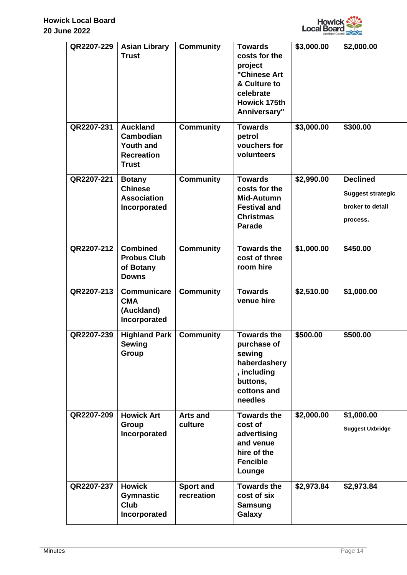

| QR2207-229 | <b>Asian Library</b><br><b>Trust</b>                                                  | <b>Community</b>               | <b>Towards</b><br>costs for the<br>project<br>"Chinese Art<br>& Culture to<br>celebrate<br>Howick 175th<br>Anniversary" | \$3,000.00 | \$2,000.00                                                                  |
|------------|---------------------------------------------------------------------------------------|--------------------------------|-------------------------------------------------------------------------------------------------------------------------|------------|-----------------------------------------------------------------------------|
| QR2207-231 | <b>Auckland</b><br>Cambodian<br><b>Youth and</b><br><b>Recreation</b><br><b>Trust</b> | <b>Community</b>               | <b>Towards</b><br>petrol<br>vouchers for<br>volunteers                                                                  | \$3,000.00 | \$300.00                                                                    |
| QR2207-221 | <b>Botany</b><br><b>Chinese</b><br><b>Association</b><br>Incorporated                 | <b>Community</b>               | <b>Towards</b><br>costs for the<br>Mid-Autumn<br><b>Festival and</b><br><b>Christmas</b><br><b>Parade</b>               | \$2,990.00 | <b>Declined</b><br><b>Suggest strategic</b><br>broker to detail<br>process. |
| QR2207-212 | <b>Combined</b><br><b>Probus Club</b><br>of Botany<br><b>Downs</b>                    | <b>Community</b>               | <b>Towards the</b><br>cost of three<br>room hire                                                                        | \$1,000.00 | \$450.00                                                                    |
| QR2207-213 | <b>Communicare</b><br><b>CMA</b><br>(Auckland)<br>Incorporated                        | <b>Community</b>               | <b>Towards</b><br>venue hire                                                                                            | \$2,510.00 | \$1,000.00                                                                  |
| QR2207-239 | <b>Highland Park</b><br><b>Sewing</b><br>Group                                        | <b>Community</b>               | <b>Towards the</b><br>purchase of<br>sewing<br>haberdashery<br>, including<br>buttons,<br>cottons and<br>needles        | \$500.00   | \$500.00                                                                    |
| QR2207-209 | <b>Howick Art</b><br>Group<br>Incorporated                                            | <b>Arts and</b><br>culture     | <b>Towards the</b><br>cost of<br>advertising<br>and venue<br>hire of the<br><b>Fencible</b><br>Lounge                   | \$2,000.00 | \$1,000.00<br><b>Suggest Uxbridge</b>                                       |
| QR2207-237 | <b>Howick</b><br><b>Gymnastic</b><br><b>Club</b><br>Incorporated                      | <b>Sport and</b><br>recreation | <b>Towards the</b><br>cost of six<br><b>Samsung</b><br>Galaxy                                                           | \$2,973.84 | \$2,973.84                                                                  |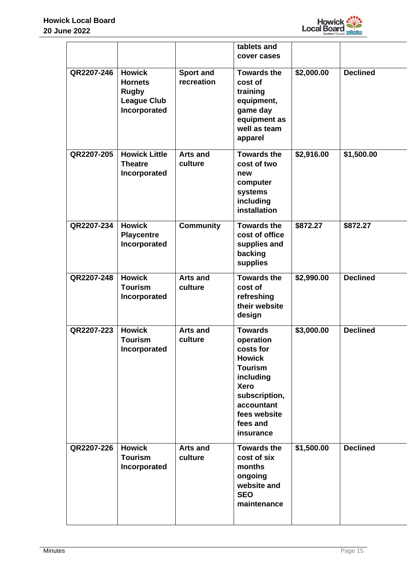

|            |                                                                                       |                                | tablets and<br>cover cases                                                                                                                                                      |            |                 |
|------------|---------------------------------------------------------------------------------------|--------------------------------|---------------------------------------------------------------------------------------------------------------------------------------------------------------------------------|------------|-----------------|
| QR2207-246 | <b>Howick</b><br><b>Hornets</b><br><b>Rugby</b><br><b>League Club</b><br>Incorporated | <b>Sport and</b><br>recreation | <b>Towards the</b><br>cost of<br>training<br>equipment,<br>game day<br>equipment as<br>well as team<br>apparel                                                                  | \$2,000.00 | <b>Declined</b> |
| QR2207-205 | <b>Howick Little</b><br><b>Theatre</b><br>Incorporated                                | <b>Arts and</b><br>culture     | <b>Towards the</b><br>cost of two<br>new<br>computer<br>systems<br>including<br>installation                                                                                    | \$2,916.00 | \$1,500.00      |
| QR2207-234 | <b>Howick</b><br><b>Playcentre</b><br>Incorporated                                    | <b>Community</b>               | <b>Towards the</b><br>cost of office<br>supplies and<br>backing<br>supplies                                                                                                     | \$872.27   | \$872.27        |
| QR2207-248 | <b>Howick</b><br><b>Tourism</b><br>Incorporated                                       | <b>Arts and</b><br>culture     | <b>Towards the</b><br>cost of<br>refreshing<br>their website<br>design                                                                                                          | \$2,990.00 | <b>Declined</b> |
| QR2207-223 | <b>Howick</b><br><b>Tourism</b><br>Incorporated                                       | <b>Arts and</b><br>culture     | <b>Towards</b><br>operation<br>costs for<br><b>Howick</b><br><b>Tourism</b><br>including<br><b>Xero</b><br>subscription,<br>accountant<br>fees website<br>fees and<br>insurance | \$3,000.00 | <b>Declined</b> |
| QR2207-226 | <b>Howick</b><br><b>Tourism</b><br>Incorporated                                       | <b>Arts and</b><br>culture     | <b>Towards the</b><br>cost of six<br>months<br>ongoing<br>website and<br><b>SEO</b><br>maintenance                                                                              | \$1,500.00 | <b>Declined</b> |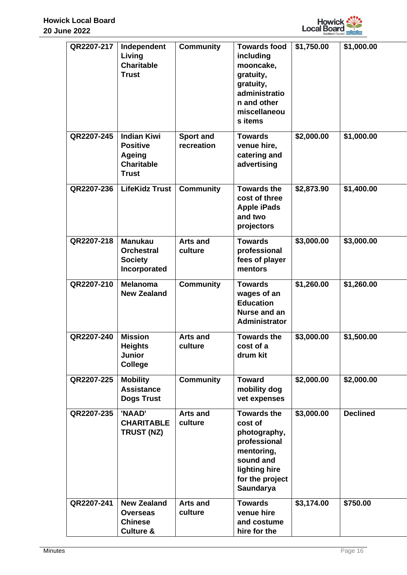

| QR2207-217 | Independent<br>Living<br><b>Charitable</b><br><b>Trust</b>                                  | <b>Community</b>               | <b>Towards food</b><br>including<br>mooncake,<br>gratuity,<br>gratuity,<br>administratio<br>n and other<br>miscellaneou<br>s items        | \$1,750.00 | \$1,000.00      |
|------------|---------------------------------------------------------------------------------------------|--------------------------------|-------------------------------------------------------------------------------------------------------------------------------------------|------------|-----------------|
| QR2207-245 | <b>Indian Kiwi</b><br><b>Positive</b><br><b>Ageing</b><br><b>Charitable</b><br><b>Trust</b> | <b>Sport and</b><br>recreation | <b>Towards</b><br>venue hire,<br>catering and<br>advertising                                                                              | \$2,000.00 | \$1,000.00      |
| QR2207-236 | <b>LifeKidz Trust</b>                                                                       | <b>Community</b>               | <b>Towards the</b><br>cost of three<br><b>Apple iPads</b><br>and two<br>projectors                                                        | \$2,873.90 | \$1,400.00      |
| QR2207-218 | <b>Manukau</b><br><b>Orchestral</b><br><b>Society</b><br>Incorporated                       | <b>Arts and</b><br>culture     | <b>Towards</b><br>professional<br>fees of player<br>mentors                                                                               | \$3,000.00 | \$3,000.00      |
| QR2207-210 | <b>Melanoma</b><br><b>New Zealand</b>                                                       | <b>Community</b>               | <b>Towards</b><br>wages of an<br><b>Education</b><br>Nurse and an<br><b>Administrator</b>                                                 | \$1,260.00 | \$1,260.00      |
| QR2207-240 | <b>Mission</b><br><b>Heights</b><br><b>Junior</b><br><b>College</b>                         | <b>Arts and</b><br>culture     | <b>Towards the</b><br>cost of a<br>drum kit                                                                                               | \$3,000.00 | \$1,500.00      |
| QR2207-225 | <b>Mobility</b><br><b>Assistance</b><br><b>Dogs Trust</b>                                   | <b>Community</b>               | <b>Toward</b><br>mobility dog<br>vet expenses                                                                                             | \$2,000.00 | \$2,000.00      |
| QR2207-235 | 'NAAD'<br><b>CHARITABLE</b><br>TRUST (NZ)                                                   | <b>Arts and</b><br>culture     | <b>Towards the</b><br>cost of<br>photography,<br>professional<br>mentoring,<br>sound and<br>lighting hire<br>for the project<br>Saundarya | \$3,000.00 | <b>Declined</b> |
| QR2207-241 | <b>New Zealand</b><br><b>Overseas</b><br><b>Chinese</b><br><b>Culture &amp;</b>             | <b>Arts and</b><br>culture     | <b>Towards</b><br>venue hire<br>and costume<br>hire for the                                                                               | \$3,174.00 | \$750.00        |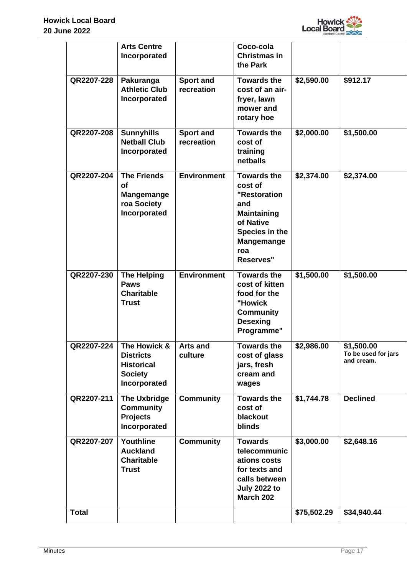

|              | <b>Arts Centre</b><br>Incorporated                                                                          |                                | Coco-cola<br><b>Christmas in</b><br>the Park                                                                                                |             |                                                             |
|--------------|-------------------------------------------------------------------------------------------------------------|--------------------------------|---------------------------------------------------------------------------------------------------------------------------------------------|-------------|-------------------------------------------------------------|
| QR2207-228   | Pakuranga<br><b>Athletic Club</b><br>Incorporated                                                           | <b>Sport and</b><br>recreation | <b>Towards the</b><br>cost of an air-<br>fryer, lawn<br>mower and<br>rotary hoe                                                             | \$2,590.00  | \$912.17                                                    |
| QR2207-208   | <b>Sunnyhills</b><br><b>Netball Club</b><br>Incorporated                                                    | <b>Sport and</b><br>recreation | <b>Towards the</b><br>cost of<br>training<br>netballs                                                                                       | \$2,000.00  | \$1,500.00                                                  |
| QR2207-204   | <b>The Friends</b><br>Οf<br>Mangemange<br>roa Society<br>Incorporated                                       | <b>Environment</b>             | <b>Towards the</b><br>cost of<br>"Restoration<br>and<br><b>Maintaining</b><br>of Native<br>Species in the<br>Mangemange<br>roa<br>Reserves" | \$2,374.00  | \$2,374.00                                                  |
| QR2207-230   | <b>The Helping</b><br><b>Paws</b><br><b>Charitable</b><br><b>Trust</b>                                      | <b>Environment</b>             | <b>Towards the</b><br>cost of kitten<br>food for the<br>"Howick<br><b>Community</b><br><b>Desexing</b><br>Programme"                        | \$1,500.00  | \$1,500.00                                                  |
|              | <b>QR2207-224</b>   The Howick &<br><b>Districts</b><br><b>Historical</b><br><b>Society</b><br>Incorporated | <b>Arts and</b><br>culture     | <b>Towards the</b><br>cost of glass<br>jars, fresh<br>cream and<br>wages                                                                    | \$2,986.00  | $\overline{$1,500.00}$<br>To be used for jars<br>and cream. |
| QR2207-211   | <b>The Uxbridge</b><br><b>Community</b><br><b>Projects</b><br>Incorporated                                  | <b>Community</b>               | <b>Towards the</b><br>cost of<br>blackout<br>blinds                                                                                         | \$1,744.78  | <b>Declined</b>                                             |
| QR2207-207   | Youthline<br><b>Auckland</b><br><b>Charitable</b><br><b>Trust</b>                                           | <b>Community</b>               | <b>Towards</b><br>telecommunic<br>ations costs<br>for texts and<br>calls between<br><b>July 2022 to</b><br>March 202                        | \$3,000.00  | \$2,648.16                                                  |
| <b>Total</b> |                                                                                                             |                                |                                                                                                                                             | \$75,502.29 | \$34,940.44                                                 |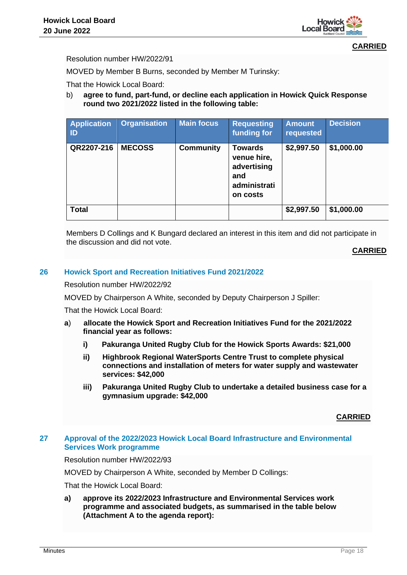

Resolution number HW/2022/91

MOVED by Member B Burns, seconded by Member M Turinsky:

That the Howick Local Board:

b) **agree to fund, part-fund, or decline each application in Howick Quick Response round two 2021/2022 listed in the following table:**

| <b>Application</b><br>ID | <b>Organisation</b> | <b>Main focus</b> | <b>Requesting</b><br>funding for                                                | <b>Amount</b><br>requested | <b>Decision</b> |
|--------------------------|---------------------|-------------------|---------------------------------------------------------------------------------|----------------------------|-----------------|
| QR2207-216               | <b>MECOSS</b>       | <b>Community</b>  | <b>Towards</b><br>venue hire,<br>advertising<br>and<br>administrati<br>on costs | \$2,997.50                 | \$1,000.00      |
| <b>Total</b>             |                     |                   |                                                                                 | \$2,997.50                 | \$1,000.00      |

Members D Collings and K Bungard declared an interest in this item and did not participate in the discussion and did not vote.

**CARRIED**

## **26 Howick Sport and Recreation Initiatives Fund 2021/2022**

Resolution number HW/2022/92

MOVED by Chairperson A White, seconded by Deputy Chairperson J Spiller:

That the Howick Local Board:

- **a**) **allocate the Howick Sport and Recreation Initiatives Fund for the 2021/2022 financial year as follows:**
	- **i) Pakuranga United Rugby Club for the Howick Sports Awards: \$21,000**
	- **ii) Highbrook Regional WaterSports Centre Trust to complete physical connections and installation of meters for water supply and wastewater services: \$42,000**
	- **iii) Pakuranga United Rugby Club to undertake a detailed business case for a gymnasium upgrade: \$42,000**

**CARRIED**

## **27 Approval of the 2022/2023 Howick Local Board Infrastructure and Environmental Services Work programme**

Resolution number HW/2022/93

MOVED by Chairperson A White, seconded by Member D Collings:

That the Howick Local Board:

**a) approve its 2022/2023 Infrastructure and Environmental Services work programme and associated budgets, as summarised in the table below (Attachment A to the agenda report):**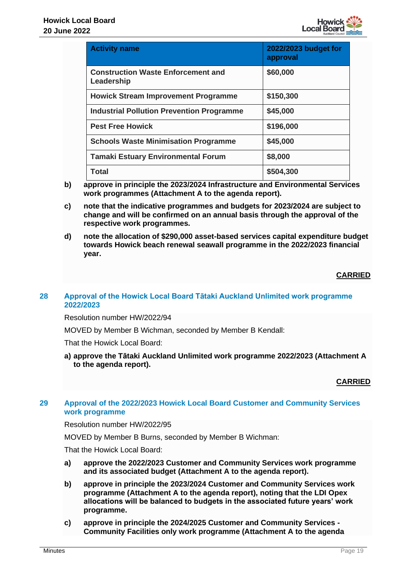

| <b>Activity name</b>                                    | 2022/2023 budget for<br>approval |
|---------------------------------------------------------|----------------------------------|
| <b>Construction Waste Enforcement and</b><br>Leadership | \$60,000                         |
| <b>Howick Stream Improvement Programme</b>              | \$150,300                        |
| <b>Industrial Pollution Prevention Programme</b>        | \$45,000                         |
| <b>Pest Free Howick</b>                                 | \$196,000                        |
| <b>Schools Waste Minimisation Programme</b>             | \$45,000                         |
| <b>Tamaki Estuary Environmental Forum</b>               | \$8,000                          |
| Total                                                   | \$504,300                        |

- **b) approve in principle the 2023/2024 Infrastructure and Environmental Services work programmes (Attachment A to the agenda report).**
- **c) note that the indicative programmes and budgets for 2023/2024 are subject to change and will be confirmed on an annual basis through the approval of the respective work programmes.**
- **d) note the allocation of \$290,000 asset-based services capital expenditure budget towards Howick beach renewal seawall programme in the 2022/2023 financial year.**

## **28 Approval of the Howick Local Board Tātaki Auckland Unlimited work programme 2022/2023**

Resolution number HW/2022/94

MOVED by Member B Wichman, seconded by Member B Kendall:

That the Howick Local Board:

**a) approve the Tātaki Auckland Unlimited work programme 2022/2023 (Attachment A to the agenda report).**

# **CARRIED**

# **29 Approval of the 2022/2023 Howick Local Board Customer and Community Services work programme**

Resolution number HW/2022/95

MOVED by Member B Burns, seconded by Member B Wichman:

- **a) approve the 2022/2023 Customer and Community Services work programme and its associated budget (Attachment A to the agenda report).**
- **b) approve in principle the 2023/2024 Customer and Community Services work programme (Attachment A to the agenda report), noting that the LDI Opex allocations will be balanced to budgets in the associated future years' work programme.**
- **c) approve in principle the 2024/2025 Customer and Community Services - Community Facilities only work programme (Attachment A to the agenda**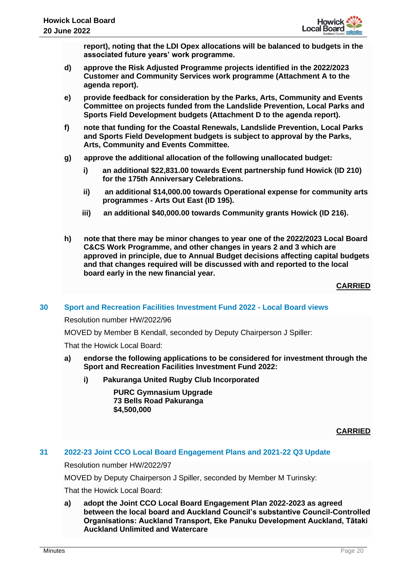

**report), noting that the LDI Opex allocations will be balanced to budgets in the associated future years' work programme.**

- **d) approve the Risk Adjusted Programme projects identified in the 2022/2023 Customer and Community Services work programme (Attachment A to the agenda report).**
- **e) provide feedback for consideration by the Parks, Arts, Community and Events Committee on projects funded from the Landslide Prevention, Local Parks and Sports Field Development budgets (Attachment D to the agenda report).**
- **f) note that funding for the Coastal Renewals, Landslide Prevention, Local Parks and Sports Field Development budgets is subject to approval by the Parks, Arts, Community and Events Committee.**
- **g) approve the additional allocation of the following unallocated budget:**
	- **i) an additional \$22,831.00 towards Event partnership fund Howick (ID 210) for the 175th Anniversary Celebrations.**
	- **ii) an additional \$14,000.00 towards Operational expense for community arts programmes - Arts Out East (ID 195).**
	- **iii) an additional \$40,000.00 towards Community grants Howick (ID 216).**
- **h) note that there may be minor changes to year one of the 2022/2023 Local Board C&CS Work Programme, and other changes in years 2 and 3 which are approved in principle, due to Annual Budget decisions affecting capital budgets and that changes required will be discussed with and reported to the local board early in the new financial year.**

**CARRIED**

# **30 Sport and Recreation Facilities Investment Fund 2022 - Local Board views**

## Resolution number HW/2022/96

MOVED by Member B Kendall, seconded by Deputy Chairperson J Spiller:

That the Howick Local Board:

- **a) endorse the following applications to be considered for investment through the Sport and Recreation Facilities Investment Fund 2022:**
	- **i) Pakuranga United Rugby Club Incorporated**

**PURC Gymnasium Upgrade 73 Bells Road Pakuranga \$4,500,000**

**CARRIED**

# **31 2022-23 Joint CCO Local Board Engagement Plans and 2021-22 Q3 Update**

Resolution number HW/2022/97

MOVED by Deputy Chairperson J Spiller, seconded by Member M Turinsky:

That the Howick Local Board:

**a) adopt the Joint CCO Local Board Engagement Plan 2022-2023 as agreed between the local board and Auckland Council's substantive Council-Controlled Organisations: Auckland Transport, Eke Panuku Development Auckland, Tātaki Auckland Unlimited and Watercare**